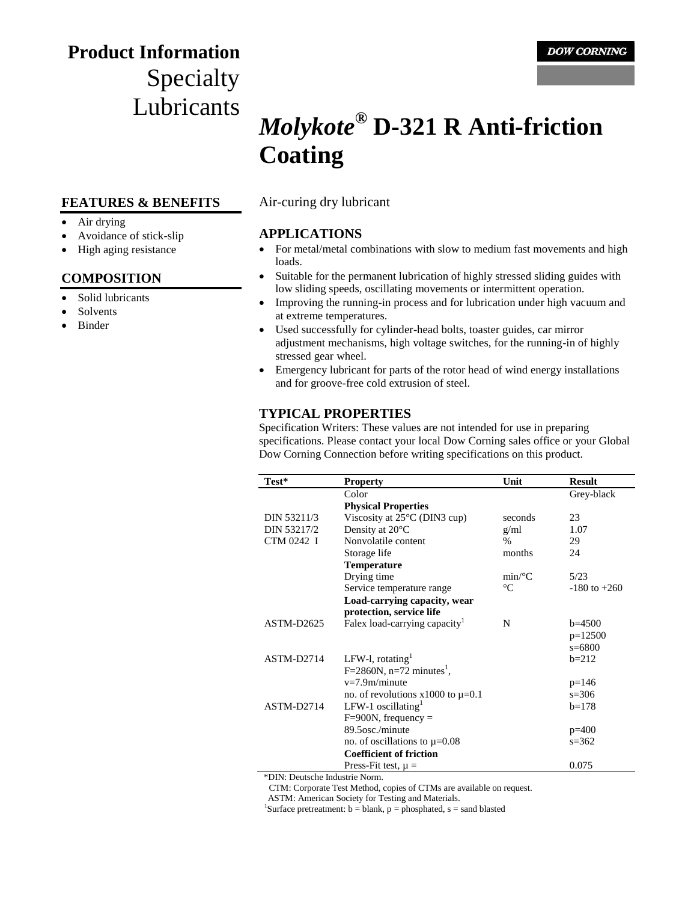## **Product Information** Specialty Lubricants

#### **FEATURES & BENEFITS**

- Air drying
- Avoidance of stick-slip
- High aging resistance

#### **COMPOSITION**

- Solid lubricants
- Solvents
- Binder

# *Molykote***® D-321 R Anti-friction Coating**

Air-curing dry lubricant

#### **APPLICATIONS**

- For metal/metal combinations with slow to medium fast movements and high loads.
- Suitable for the permanent lubrication of highly stressed sliding guides with low sliding speeds, oscillating movements or intermittent operation.
- Improving the running-in process and for lubrication under high vacuum and at extreme temperatures.
- Used successfully for cylinder-head bolts, toaster guides, car mirror adjustment mechanisms, high voltage switches, for the running-in of highly stressed gear wheel.
- Emergency lubricant for parts of the rotor head of wind energy installations and for groove-free cold extrusion of steel.

#### **TYPICAL PROPERTIES**

Specification Writers: These values are not intended for use in preparing specifications. Please contact your local Dow Corning sales office or your Global Dow Corning Connection before writing specifications on this product.

| Color<br>Grey-black<br><b>Physical Properties</b><br>Viscosity at $25^{\circ}$ C (DIN3 cup)<br>DIN 53211/3<br>23<br>seconds<br>Density at 20°C<br>DIN 53217/2<br>1.07<br>g/ml<br>CTM 0242 I<br>Nonvolatile content<br>$\%$<br>29<br>Storage life<br>months<br>24<br><b>Temperature</b><br>Drying time<br>$min$ /°C<br>5/23<br>$\rm ^{\circ}C$<br>Service temperature range<br>$-180$ to $+260$ |
|------------------------------------------------------------------------------------------------------------------------------------------------------------------------------------------------------------------------------------------------------------------------------------------------------------------------------------------------------------------------------------------------|
|                                                                                                                                                                                                                                                                                                                                                                                                |
|                                                                                                                                                                                                                                                                                                                                                                                                |
|                                                                                                                                                                                                                                                                                                                                                                                                |
|                                                                                                                                                                                                                                                                                                                                                                                                |
|                                                                                                                                                                                                                                                                                                                                                                                                |
|                                                                                                                                                                                                                                                                                                                                                                                                |
|                                                                                                                                                                                                                                                                                                                                                                                                |
|                                                                                                                                                                                                                                                                                                                                                                                                |
|                                                                                                                                                                                                                                                                                                                                                                                                |
| Load-carrying capacity, wear                                                                                                                                                                                                                                                                                                                                                                   |
| protection, service life                                                                                                                                                                                                                                                                                                                                                                       |
| Falex load-carrying capacity <sup>1</sup><br>N<br>ASTM-D2625<br>$b=4500$                                                                                                                                                                                                                                                                                                                       |
| $p=12500$                                                                                                                                                                                                                                                                                                                                                                                      |
| $s = 6800$                                                                                                                                                                                                                                                                                                                                                                                     |
| LFW-l, rotating <sup>1</sup><br>ASTM-D2714<br>$b=212$                                                                                                                                                                                                                                                                                                                                          |
| $F=2860N$ , n=72 minutes <sup>1</sup> ,                                                                                                                                                                                                                                                                                                                                                        |
| $v=7.9m/minute$<br>$p=146$                                                                                                                                                                                                                                                                                                                                                                     |
| no. of revolutions $x1000$ to $\mu=0.1$<br>$s = 306$                                                                                                                                                                                                                                                                                                                                           |
| LFW-1 oscillating $1$<br>ASTM-D2714<br>$b=178$                                                                                                                                                                                                                                                                                                                                                 |
| $F=900N$ , frequency =                                                                                                                                                                                                                                                                                                                                                                         |
| 89.5osc./minute<br>$p=400$                                                                                                                                                                                                                                                                                                                                                                     |
| no. of oscillations to $\mu$ =0.08<br>$s = 362$                                                                                                                                                                                                                                                                                                                                                |
| <b>Coefficient of friction</b>                                                                                                                                                                                                                                                                                                                                                                 |
| 0.075<br>Press-Fit test, $\mu =$                                                                                                                                                                                                                                                                                                                                                               |

\*DIN: Deutsche Industrie Norm.

CTM: Corporate Test Method, copies of CTMs are available on request.

ASTM: American Society for Testing and Materials.

<sup>1</sup>Surface pretreatment:  $b = blank$ ,  $p = phosphated$ ,  $s = sand$  blasted